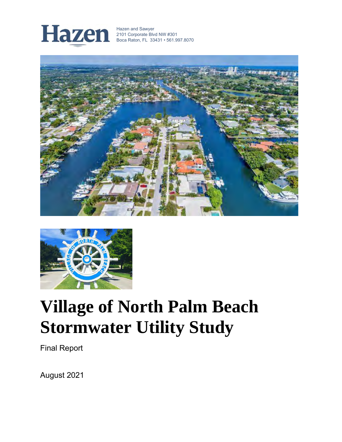

Hazen and Sawyer 2101 Corporate Blvd NW #301 Boca Raton, FL 33431 • 561.997.8070





# **Village of North Palm Beach Stormwater Utility Study**

Final Report

August 2021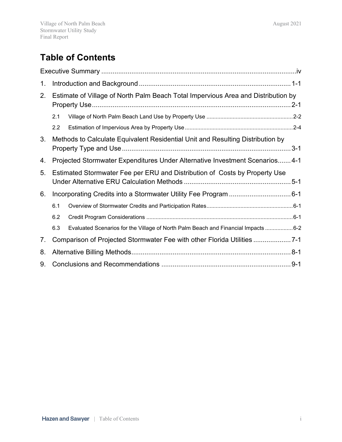# **Table of Contents**

| 1. |                                                                                   |                                                                                   |  |
|----|-----------------------------------------------------------------------------------|-----------------------------------------------------------------------------------|--|
| 2. | Estimate of Village of North Palm Beach Total Impervious Area and Distribution by |                                                                                   |  |
|    | 2.1                                                                               |                                                                                   |  |
|    | 2.2                                                                               |                                                                                   |  |
| 3. |                                                                                   | Methods to Calculate Equivalent Residential Unit and Resulting Distribution by    |  |
| 4. |                                                                                   | Projected Stormwater Expenditures Under Alternative Investment Scenarios4-1       |  |
| 5. | Estimated Stormwater Fee per ERU and Distribution of Costs by Property Use        |                                                                                   |  |
| 6. |                                                                                   |                                                                                   |  |
|    | 6.1                                                                               |                                                                                   |  |
|    | 6.2                                                                               |                                                                                   |  |
|    | 6.3                                                                               | Evaluated Scenarios for the Village of North Palm Beach and Financial Impacts 6-2 |  |
| 7. | Comparison of Projected Stormwater Fee with other Florida Utilities 7-1           |                                                                                   |  |
| 8. |                                                                                   |                                                                                   |  |
| 9. |                                                                                   |                                                                                   |  |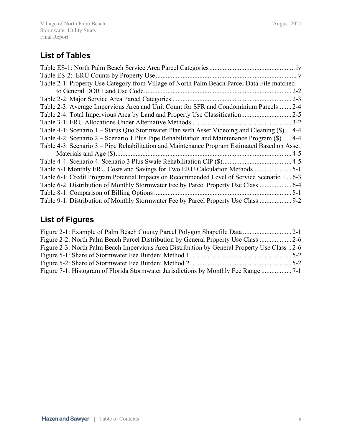# **List of Tables**

| Table 2-1: Property Use Category from Village of North Palm Beach Parcel Data File matched    |
|-----------------------------------------------------------------------------------------------|
| $2 - 2$                                                                                       |
|                                                                                               |
| Table 2-3: Average Impervious Area and Unit Count for SFR and Condominium Parcels 2-4         |
|                                                                                               |
|                                                                                               |
| Table 4-1: Scenario 1 – Status Quo Stormwater Plan with Asset Videoing and Cleaning (\$) 4-4  |
| Table 4-2: Scenario 2 – Scenario 1 Plus Pipe Rehabilitation and Maintenance Program (\$)  4-4 |
| Table 4-3: Scenario 3 – Pipe Rehabilitation and Maintenance Program Estimated Based on Asset  |
|                                                                                               |
|                                                                                               |
| Table 5-1 Monthly ERU Costs and Savings for Two ERU Calculation Methods 5-1                   |
| Table 6-1: Credit Program Potential Impacts on Recommended Level of Service Scenario 16-3     |
| Table 6-2: Distribution of Monthly Stormwater Fee by Parcel Property Use Class  6-4           |
|                                                                                               |
| Table 9-1: Distribution of Monthly Stormwater Fee by Parcel Property Use Class  9-2           |

# **List of Figures**

| Figure 2-2: North Palm Beach Parcel Distribution by General Property Use Class  2-6         |  |
|---------------------------------------------------------------------------------------------|--|
| Figure 2-3: North Palm Beach Impervious Area Distribution by General Property Use Class 2-6 |  |
|                                                                                             |  |
|                                                                                             |  |
| Figure 7-1: Histogram of Florida Stormwater Jurisdictions by Monthly Fee Range              |  |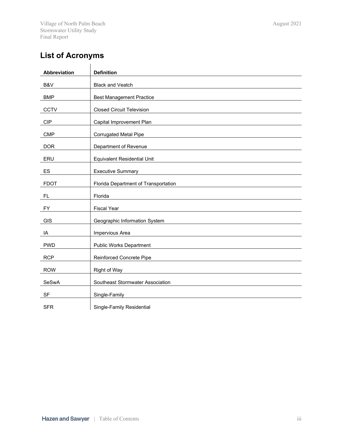# **List of Acronyms**

| Abbreviation | <b>Definition</b>                    |
|--------------|--------------------------------------|
| B&V          | <b>Black and Veatch</b>              |
| <b>BMP</b>   | <b>Best Management Practice</b>      |
| <b>CCTV</b>  | <b>Closed Circuit Television</b>     |
| <b>CIP</b>   | Capital Improvement Plan             |
| <b>CMP</b>   | <b>Corrugated Metal Pipe</b>         |
| <b>DOR</b>   | Department of Revenue                |
| ERU          | <b>Equivalent Residential Unit</b>   |
| ES           | <b>Executive Summary</b>             |
| <b>FDOT</b>  | Florida Department of Transportation |
| <b>FL</b>    | Florida                              |
| <b>FY</b>    | <b>Fiscal Year</b>                   |
| <b>GIS</b>   | Geographic Information System        |
| IA           | Impervious Area                      |
| <b>PWD</b>   | <b>Public Works Department</b>       |
| <b>RCP</b>   | Reinforced Concrete Pipe             |
| <b>ROW</b>   | <b>Right of Way</b>                  |
| SeSwA        | Southeast Stormwater Association     |
| <b>SF</b>    | Single-Family                        |
| <b>SFR</b>   | Single-Family Residential            |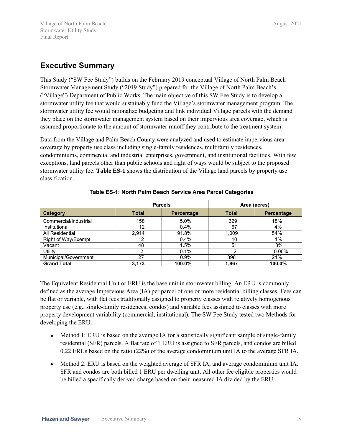# <span id="page-4-0"></span>**Executive Summary**

This Study ("SW Fee Study") builds on the February 2019 conceptual Village of North Palm Beach Stormwater Management Study ("2019 Study") prepared for the Village of North Palm Beach's ("Village") Department of Public Works. The main objective of this SW Fee Study is to develop a stormwater utility fee that would sustainably fund the Village's stormwater management program. The stormwater utility fee would rationalize budgeting and link individual Village parcels with the demand they place on the stormwater management system based on their impervious area coverage, which is assumed proportionate to the amount of stormwater runoff they contribute to the treatment system.

Data from the Village and Palm Beach County were analyzed and used to estimate impervious area coverage by property use class including single-family residences, multifamily residences, condominiums, commercial and industrial enterprises, government, and institutional facilities. With few exceptions, land parcels other than public schools and right of ways would be subject to the proposed stormwater utility fee. **Table ES-1** shows the distribution of the Village land parcels by property use classification.

|                       | <b>Parcels</b> |                   |              | Area (acres)      |
|-----------------------|----------------|-------------------|--------------|-------------------|
| <b>Category</b>       | <b>Total</b>   | <b>Percentage</b> | <b>Total</b> | <b>Percentage</b> |
| Commercial/Industrial | 158            | 5.0%              | 329          | 18%               |
| Institutional         | 12             | 0.4%              | 67           | 4%                |
| All Residential       | 2.914          | 91.8%             | 1.009        | 54%               |
| Right of Way/Exempt   | 12             | 0.4%              | 10           | $1\%$             |
| Vacant                | 48             | 1.5%              | 51           | 3%                |
| Utility               | ◠              | 0.1%              |              | 0.06%             |
| Municipal/Government  | 27             | 0.9%              | 398          | 21%               |
| <b>Grand Total</b>    | 3,173          | 100.0%            | 1,867        | 100.0%            |

#### <span id="page-4-1"></span>**Table ES-1: North Palm Beach Service Area Parcel Categories**

The Equivalent Residential Unit or ERU is the base unit in stormwater billing. An ERU is commonly defined as the average Impervious Area (IA) per parcel of one or more residential billing classes. Fees can be flat or variable, with flat fees traditionally assigned to property classes with relatively homogenous property use (e.g., single-family residences, condos) and variable fees assigned to classes with more property development variability (commercial, institutional). The SW Fee Study tested two Methods for developing the ERU:

- Method 1: ERU is based on the average IA for a statistically significant sample of single-family residential (SFR) parcels. A flat rate of 1 ERU is assigned to SFR parcels, and condos are billed 0.22 ERUs based on the ratio (22%) of the average condominium unit IA to the average SFR IA.
- Method 2: ERU is based on the weighted average of SFR IA, and average condominium unit IA. SFR and condos are both billed 1 ERU per dwelling unit. All other fee eligible properties would be billed a specifically derived charge based on their measured IA divided by the ERU.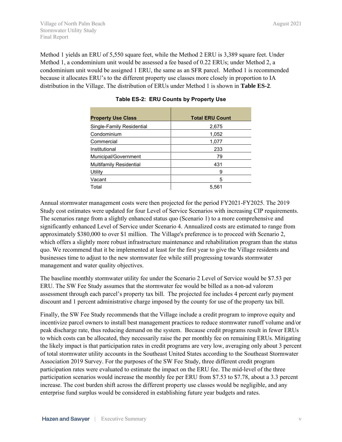<span id="page-5-0"></span>Method 1 yields an ERU of 5,550 square feet, while the Method 2 ERU is 3,389 square feet. Under Method 1, a condominium unit would be assessed a fee based of 0.22 ERUs; under Method 2, a condominium unit would be assigned 1 ERU, the same as an SFR parcel. Method 1 is recommended because it allocates ERU's to the different property use classes more closely in proportion to IA distribution in the Village. The distribution of ERUs under Method 1 is shown in **Table ES-2**.

| <b>Property Use Class</b> | <b>Total ERU Count</b> |  |  |
|---------------------------|------------------------|--|--|
| Single-Family Residential | 2,675                  |  |  |
| Condominium               | 1,052                  |  |  |
| Commercial                | 1,077                  |  |  |
| Institutional             | 233                    |  |  |
| Municipal/Government      | 79                     |  |  |
| Multifamily Residential   | 431                    |  |  |
| Utility                   | 9                      |  |  |
| Vacant                    | 5                      |  |  |
| Total                     | 5.561                  |  |  |

**Table ES-2: ERU Counts by Property Use** 

Annual stormwater management costs were then projected for the period FY2021-FY2025. The 2019 Study cost estimates were updated for four Level of Service Scenarios with increasing CIP requirements. The scenarios range from a slightly enhanced status quo (Scenario 1) to a more comprehensive and significantly enhanced Level of Service under Scenario 4. Annualized costs are estimated to range from approximately \$380,000 to over \$1 million. The Village's preference is to proceed with Scenario 2, which offers a slightly more robust infrastructure maintenance and rehabilitation program than the status quo. We recommend that it be implemented at least for the first year to give the Village residents and businesses time to adjust to the new stormwater fee while still progressing towards stormwater management and water quality objectives.

The baseline monthly stormwater utility fee under the Scenario 2 Level of Service would be \$7.53 per ERU. The SW Fee Study assumes that the stormwater fee would be billed as a non-ad valorem assessment through each parcel's property tax bill. The projected fee includes 4 percent early payment discount and 1 percent administrative charge imposed by the county for use of the property tax bill.

Finally, the SW Fee Study recommends that the Village include a credit program to improve equity and incentivize parcel owners to install best management practices to reduce stormwater runoff volume and/or peak discharge rate, thus reducing demand on the system. Because credit programs result in fewer ERUs to which costs can be allocated, they necessarily raise the per monthly fee on remaining ERUs. Mitigating the likely impact is that participation rates in credit programs are very low, averaging only about 3 percent of total stormwater utility accounts in the Southeast United States according to the Southeast Stormwater Association 2019 Survey. For the purposes of the SW Fee Study, three different credit program participation rates were evaluated to estimate the impact on the ERU fee. The mid-level of the three participation scenarios would increase the monthly fee per ERU from \$7.53 to \$7.78, about a 3.3 percent increase. The cost burden shift across the different property use classes would be negligible, and any enterprise fund surplus would be considered in establishing future year budgets and rates.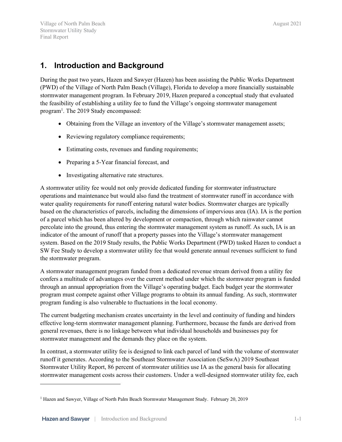# <span id="page-6-0"></span>**1. Introduction and Background**

During the past two years, Hazen and Sawyer (Hazen) has been assisting the Public Works Department (PWD) of the Village of North Palm Beach (Village), Florida to develop a more financially sustainable stormwater management program. In February 2019, Hazen prepared a conceptual study that evaluated the feasibility of establishing a utility fee to fund the Village's ongoing stormwater management program<sup>1</sup>. The 2019 Study encompassed:

- Obtaining from the Village an inventory of the Village's stormwater management assets;
- Reviewing regulatory compliance requirements;
- Estimating costs, revenues and funding requirements;
- Preparing a 5-Year financial forecast, and
- Investigating alternative rate structures.

A stormwater utility fee would not only provide dedicated funding for stormwater infrastructure operations and maintenance but would also fund the treatment of stormwater runoff in accordance with water quality requirements for runoff entering natural water bodies. Stormwater charges are typically based on the characteristics of parcels, including the dimensions of impervious area (IA). IA is the portion of a parcel which has been altered by development or compaction, through which rainwater cannot percolate into the ground, thus entering the stormwater management system as runoff. As such, IA is an indicator of the amount of runoff that a property passes into the Village's stormwater management system. Based on the 2019 Study results, the Public Works Department (PWD) tasked Hazen to conduct a SW Fee Study to develop a stormwater utility fee that would generate annual revenues sufficient to fund the stormwater program.

A stormwater management program funded from a dedicated revenue stream derived from a utility fee confers a multitude of advantages over the current method under which the stormwater program is funded through an annual appropriation from the Village's operating budget. Each budget year the stormwater program must compete against other Village programs to obtain its annual funding. As such, stormwater program funding is also vulnerable to fluctuations in the local economy.

The current budgeting mechanism creates uncertainty in the level and continuity of funding and hinders effective long-term stormwater management planning. Furthermore, because the funds are derived from general revenues, there is no linkage between what individual households and businesses pay for stormwater management and the demands they place on the system.

In contrast, a stormwater utility fee is designed to link each parcel of land with the volume of stormwater runoff it generates. According to the Southeast Stormwater Association (SeSwA) 2019 Southeast Stormwater Utility Report, 86 percent of stormwater utilities use IA as the general basis for allocating stormwater management costs across their customers. Under a well-designed stormwater utility fee, each

<sup>1</sup> Hazen and Sawyer, Village of North Palm Beach Stormwater Management Study. February 20, 2019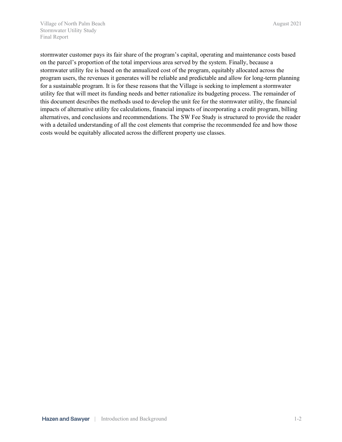stormwater customer pays its fair share of the program's capital, operating and maintenance costs based on the parcel's proportion of the total impervious area served by the system. Finally, because a stormwater utility fee is based on the annualized cost of the program, equitably allocated across the program users, the revenues it generates will be reliable and predictable and allow for long-term planning for a sustainable program. It is for these reasons that the Village is seeking to implement a stormwater utility fee that will meet its funding needs and better rationalize its budgeting process. The remainder of this document describes the methods used to develop the unit fee for the stormwater utility, the financial impacts of alternative utility fee calculations, financial impacts of incorporating a credit program, billing alternatives, and conclusions and recommendations. The SW Fee Study is structured to provide the reader with a detailed understanding of all the cost elements that comprise the recommended fee and how those costs would be equitably allocated across the different property use classes.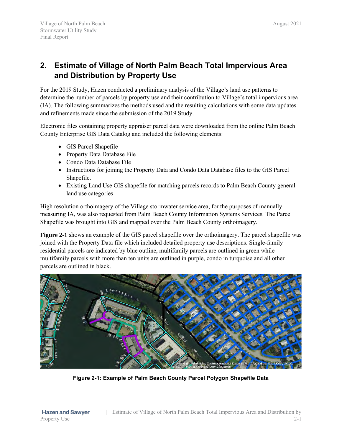# <span id="page-8-0"></span>**2. Estimate of Village of North Palm Beach Total Impervious Area and Distribution by Property Use**

For the 2019 Study, Hazen conducted a preliminary analysis of the Village's land use patterns to determine the number of parcels by property use and their contribution to Village's total impervious area (IA). The following summarizes the methods used and the resulting calculations with some data updates and refinements made since the submission of the 2019 Study.

Electronic files containing property appraiser parcel data were downloaded from the online Palm Beach County Enterprise GIS Data Catalog and included the following elements:

- GIS Parcel Shapefile
- Property Data Database File
- Condo Data Database File
- Instructions for joining the Property Data and Condo Data Database files to the GIS Parcel Shapefile.
- Existing Land Use GIS shapefile for matching parcels records to Palm Beach County general land use categories

High resolution orthoimagery of the Village stormwater service area, for the purposes of manually measuring IA, was also requested from Palm Beach County Information Systems Services. The Parcel Shapefile was brought into GIS and mapped over the Palm Beach County orthoimagery.

**Figure 2-1** shows an example of the GIS parcel shapefile over the orthoimagery. The parcel shapefile was joined with the Property Data file which included detailed property use descriptions. Single-family residential parcels are indicated by blue outline, multifamily parcels are outlined in green while multifamily parcels with more than ten units are outlined in purple, condo in turquoise and all other parcels are outlined in black.

<span id="page-8-1"></span>

**Figure 2-1: Example of Palm Beach County Parcel Polygon Shapefile Data**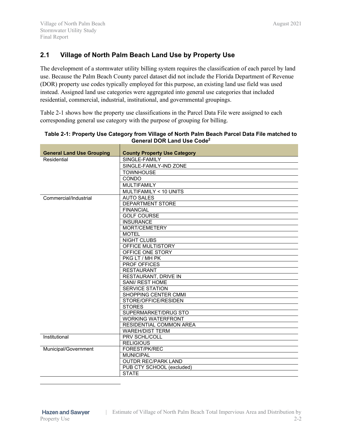### <span id="page-9-0"></span>**2.1 Village of North Palm Beach Land Use by Property Use**

The development of a stormwater utility billing system requires the classification of each parcel by land use. Because the Palm Beach County parcel dataset did not include the Florida Department of Revenue (DOR) property use codes typically employed for this purpose, an existing land use field was used instead. Assigned land use categories were aggregated into general use categories that included residential, commercial, industrial, institutional, and governmental groupings.

[Table 2-1](#page-9-1) shows how the property use classifications in the Parcel Data File were assigned to each corresponding general use category with the purpose of grouping for billing.

| <b>General Land Use Grouping</b> | <b>County Property Use Category</b> |
|----------------------------------|-------------------------------------|
| Residential                      | SINGLE-FAMILY                       |
|                                  | SINGLE-FAMILY-IND ZONE              |
|                                  | <b>TOWNHOUSE</b>                    |
|                                  | CONDO                               |
|                                  | <b>MULTIFAMILY</b>                  |
|                                  | MULTIFAMILY < 10 UNITS              |
| Commercial/Industrial            | <b>AUTO SALES</b>                   |
|                                  | DEPARTMENT STORE                    |
|                                  | <b>FINANCIAL</b>                    |
|                                  | <b>GOLF COURSE</b>                  |
|                                  | <b>INSURANCE</b>                    |
|                                  | MORT/CEMETERY                       |
|                                  | <b>MOTEL</b>                        |
|                                  | <b>NIGHT CLUBS</b>                  |
|                                  | OFFICE MULTISTORY                   |
|                                  | OFFICE ONE STORY                    |
|                                  | PKG LT / MH PK                      |
|                                  | <b>PROF OFFICES</b>                 |
|                                  | <b>RESTAURANT</b>                   |
|                                  | RESTAURANT, DRIVE IN                |
|                                  | <b>SANI/ REST HOME</b>              |
|                                  | <b>SERVICE STATION</b>              |
|                                  | SHOPPING CENTER CMMI                |
|                                  | STORE/OFFICE/RESIDEN                |
|                                  | <b>STORES</b>                       |
|                                  | SUPERMARKET/DRUG STO                |
|                                  | <b>WORKING WATERFRONT</b>           |
|                                  | RESIDENTIAL COMMON AREA             |
|                                  | <b>WAREH/DIST TERM</b>              |
| Institutional                    | PRV SCHL/COLL                       |
|                                  | <b>RELIGIOUS</b>                    |
| Municipal/Government             | FOREST/PK/REC                       |
|                                  | <b>MUNICIPAL</b>                    |
|                                  | <b>OUTDR REC/PARK LAND</b>          |
|                                  | PUB CTY SCHOOL (excluded)           |
|                                  | <b>STATE</b>                        |

<span id="page-9-1"></span>

| Table 2-1: Property Use Category from Village of North Palm Beach Parcel Data File matched to |  |
|-----------------------------------------------------------------------------------------------|--|
| General DOR Land Use Code <sup>2</sup>                                                        |  |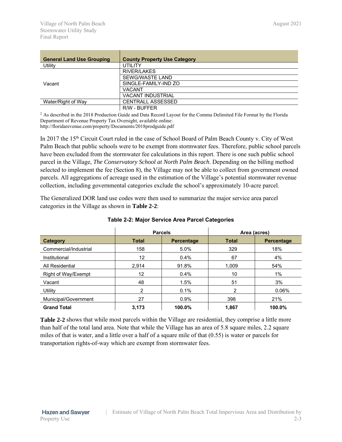| <b>General Land Use Grouping</b> | <b>County Property Use Category</b> |
|----------------------------------|-------------------------------------|
| Utility                          | UTILITY                             |
|                                  | RIVER/LAKES                         |
|                                  | SEWG/WASTE LAND                     |
| Vacant                           | SINGLE-FAMILY-IND ZO                |
|                                  | <b>VACANT</b>                       |
|                                  | <b>VACANT INDUSTRIAL</b>            |
| Water/Right of Way               | <b>CENTRALL ASSESSED</b>            |
|                                  | R/W - BUFFER                        |

<sup>2</sup> As described in the 2018 Production Guide and Data Record Layout for the Comma Delimited File Format by the Florida Department of Revenue Property Tax Oversight, available online:

http://floridarevenue.com/property/Documents/2018prodguide.pdf

In 2017 the 15<sup>th</sup> Circuit Court ruled in the case of School Board of Palm Beach County v. City of West Palm Beach that public schools were to be exempt from stormwater fees. Therefore, public school parcels have been excluded from the stormwater fee calculations in this report. There is one such public school parcel in the Village, *The Conservatory School at North Palm Beach*. Depending on the billing method selected to implement the fee (Section 8), the Village may not be able to collect from government owned parcels. All aggregations of acreage used in the estimation of the Village's potential stormwater revenue collection, including governmental categories exclude the school's approximately 10-acre parcel.

<span id="page-10-0"></span>The Generalized DOR land use codes were then used to summarize the major service area parcel categories in the Village as shown in **[Table 2-2](#page-10-0)**:

|                       | <b>Parcels</b> |            | Area (acres) |                   |
|-----------------------|----------------|------------|--------------|-------------------|
| <b>Category</b>       | <b>Total</b>   | Percentage | <b>Total</b> | <b>Percentage</b> |
| Commercial/Industrial | 158            | 5.0%       | 329          | 18%               |
| Institutional         | 12             | 0.4%       | 67           | 4%                |
| All Residential       | 2,914          | 91.8%      | 1.009        | 54%               |
| Right of Way/Exempt   | 12             | $0.4\%$    | 10           | $1\%$             |
| Vacant                | 48             | 1.5%       | 51           | 3%                |
| Utility               | $\mathcal{P}$  | 0.1%       | 2            | 0.06%             |
| Municipal/Government  | 27             | $0.9\%$    | 398          | 21%               |
| <b>Grand Total</b>    | 3,173          | 100.0%     | 1,867        | 100.0%            |

#### **Table 2-2: Major Service Area Parcel Categories**

**[Table 2-2](#page-10-0)** shows that while most parcels within the Village are residential, they comprise a little more than half of the total land area. Note that while the Village has an area of 5.8 square miles, 2.2 square miles of that is water, and a little over a half of a square mile of that (0.55) is water or parcels for transportation rights-of-way which are exempt from stormwater fees.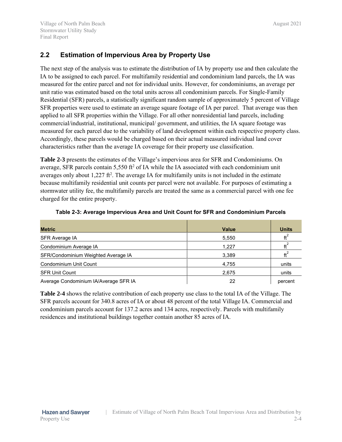### <span id="page-11-0"></span>**2.2 Estimation of Impervious Area by Property Use**

The next step of the analysis was to estimate the distribution of IA by property use and then calculate the IA to be assigned to each parcel. For multifamily residential and condominium land parcels, the IA was measured for the entire parcel and not for individual units. However, for condominiums, an average per unit ratio was estimated based on the total units across all condominium parcels. For Single-Family Residential (SFR) parcels, a statistically significant random sample of approximately 5 percent of Village SFR properties were used to estimate an average square footage of IA per parcel. That average was then applied to all SFR properties within the Village. For all other nonresidential land parcels, including commercial/industrial, institutional, municipal/ government, and utilities, the IA square footage was measured for each parcel due to the variability of land development within each respective property class. Accordingly, these parcels would be charged based on their actual measured individual land cover characteristics rather than the average IA coverage for their property use classification.

**Table 2-3** presents the estimates of the Village's impervious area for SFR and Condominiums. On average, SFR parcels contain  $5,550$  ft<sup>2</sup> of IA while the IA associated with each condominium unit averages only about 1,227 ft<sup>2</sup>. The average IA for multifamily units is not included in the estimate because multifamily residential unit counts per parcel were not available. For purposes of estimating a stormwater utility fee, the multifamily parcels are treated the same as a commercial parcel with one fee charged for the entire property.

| <b>Metric</b>                         | <b>Value</b> | <b>Units</b> |
|---------------------------------------|--------------|--------------|
| SFR Average IA                        | 5,550        | $ft^2$       |
| Condominium Average IA                | 1,227        | fť           |
| SFR/Condominium Weighted Average IA   | 3,389        | ft           |
| Condominium Unit Count                | 4,755        | units        |
| <b>SFR Unit Count</b>                 | 2,675        | units        |
| Average Condominium IA/Average SFR IA | 22           | percent      |

#### <span id="page-11-1"></span>**Table 2-3: Average Impervious Area and Unit Count for SFR and Condominium Parcels**

**Table 2-4** shows the relative contribution of each property use class to the total IA of the Village. The SFR parcels account for 340.8 acres of IA or about 48 percent of the total Village IA. Commercial and condominium parcels account for 137.2 acres and 134 acres, respectively. Parcels with multifamily residences and institutional buildings together contain another 85 acres of IA.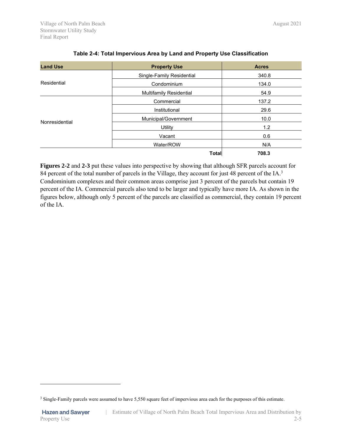<span id="page-12-0"></span>

| <b>Land Use</b> | <b>Property Use</b>            | <b>Acres</b> |
|-----------------|--------------------------------|--------------|
|                 | Single-Family Residential      | 340.8        |
| Residential     | Condominium                    | 134.0        |
|                 | <b>Multifamily Residential</b> | 54.9         |
|                 | Commercial                     | 137.2        |
|                 | Institutional                  | 29.6         |
| Nonresidential  | Municipal/Government           | 10.0         |
|                 | Utility                        | 1.2          |
|                 | Vacant                         | 0.6          |
|                 | Water/ROW                      | N/A          |
|                 | <b>Total</b>                   | 708.3        |

#### **Table 2-4: Total Impervious Area by Land and Property Use Classification**

**Figures 2-2** and **2-3** put these values into perspective by showing that although SFR parcels account for 84 percent of the total number of parcels in the Village, they account for just 48 percent of the IA.<sup>3</sup> Condominium complexes and their common areas comprise just 3 percent of the parcels but contain 19 percent of the IA. Commercial parcels also tend to be larger and typically have more IA. As shown in the figures below, although only 5 percent of the parcels are classified as commercial, they contain 19 percent of the IA.

<sup>&</sup>lt;sup>3</sup> Single-Family parcels were assumed to have 5,550 square feet of impervious area each for the purposes of this estimate.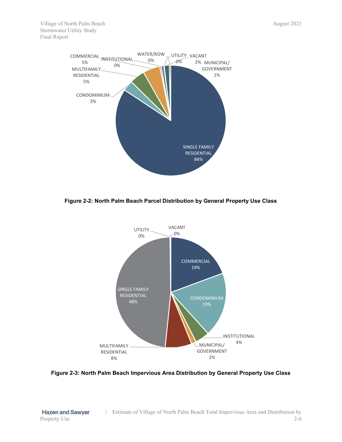

<span id="page-13-0"></span>**Figure 2-2: North Palm Beach Parcel Distribution by General Property Use Class**



<span id="page-13-1"></span>**Figure 2-3: North Palm Beach Impervious Area Distribution by General Property Use Class**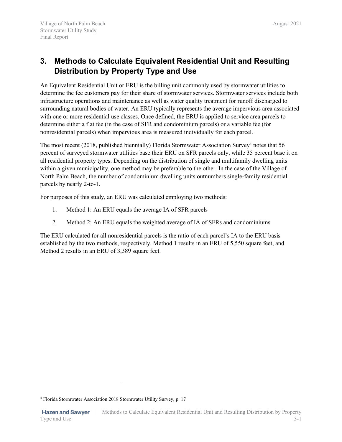# <span id="page-14-0"></span>**3. Methods to Calculate Equivalent Residential Unit and Resulting Distribution by Property Type and Use**

An Equivalent Residential Unit or ERU is the billing unit commonly used by stormwater utilities to determine the fee customers pay for their share of stormwater services. Stormwater services include both infrastructure operations and maintenance as well as water quality treatment for runoff discharged to surrounding natural bodies of water. An ERU typically represents the average impervious area associated with one or more residential use classes. Once defined, the ERU is applied to service area parcels to determine either a flat fee (in the case of SFR and condominium parcels) or a variable fee (for nonresidential parcels) when impervious area is measured individually for each parcel.

The most recent (2018, published biennially) Florida Stormwater Association Survey<sup>4</sup> notes that 56 percent of surveyed stormwater utilities base their ERU on SFR parcels only, while 35 percent base it on all residential property types. Depending on the distribution of single and multifamily dwelling units within a given municipality, one method may be preferable to the other. In the case of the Village of North Palm Beach, the number of condominium dwelling units outnumbers single-family residential parcels by nearly 2-to-1.

For purposes of this study, an ERU was calculated employing two methods:

- 1. Method 1: An ERU equals the average IA of SFR parcels
- 2. Method 2: An ERU equals the weighted average of IA of SFRs and condominiums

The ERU calculated for all nonresidential parcels is the ratio of each parcel's IA to the ERU basis established by the two methods, respectively. Method 1 results in an ERU of 5,550 square feet, and Method 2 results in an ERU of 3,389 square feet.

<sup>4</sup> Florida Stormwater Association 2018 Stormwater Utility Survey, p. 17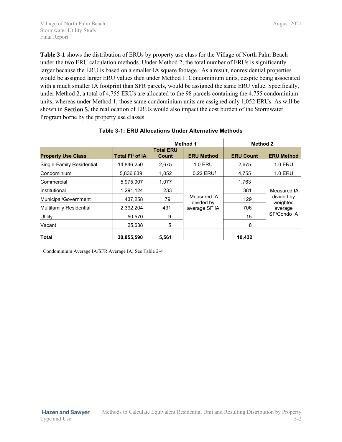**Table 3-1** shows the distribution of ERUs by property use class for the Village of North Palm Beach under the two ERU calculation methods. Under Method 2, the total number of ERUs is significantly larger because the ERU is based on a smaller IA square footage. As a result, nonresidential properties would be assigned larger ERU values then under Method 1. Condominium units, despite being associated with a much smaller IA footprint than SFR parcels, would be assigned the same ERU value. Specifically, under Method 2, a total of 4,755 ERUs are allocated to the 98 parcels containing the 4,755 condominium units, whereas under Method 1, those same condominium units are assigned only 1,052 ERUs. As will be shown in **Section 5**, the reallocation of ERUs would also impact the cost burden of the Stormwater Program borne by the property use classes.

<span id="page-15-0"></span>

|                                |                   | <b>Method 1</b>           |                           | <b>Method 2</b>  |                        |  |
|--------------------------------|-------------------|---------------------------|---------------------------|------------------|------------------------|--|
| <b>Property Use Class</b>      | Total $Ft2$ of IA | <b>Total ERU</b><br>Count | <b>ERU Method</b>         | <b>ERU Count</b> | <b>ERU Method</b>      |  |
| Single-Family Residential      | 14,846,250        | 2,675                     | 1.0 ERU                   | 2.675            | <b>1.0 ERU</b>         |  |
| Condominium                    | 5,836,639         | 1,052                     | $0.22$ ERU <sup>1</sup>   | 4,755            | <b>1.0 ERU</b>         |  |
| Commercial                     | 5,975,907         | 1,077                     |                           | 1.763            |                        |  |
| Institutional                  | 1,291,124         | 233                       |                           | 381              | Measured IA            |  |
| Municipal/Government           | 437,258           | 79                        | Measured IA<br>divided by | 129              | divided by<br>weighted |  |
| <b>Multifamily Residential</b> | 2,392,204         | 431                       | average SF IA             | 706              | average                |  |
| Utility                        | 50,570            | 9                         |                           | 15               | SF/Condo IA            |  |
| Vacant                         | 25,638            | 5                         |                           | 8                |                        |  |
| <b>Total</b>                   | 30,855,590        | 5,561                     |                           | 10,432           |                        |  |

#### **Table 3-1: ERU Allocations Under Alternative Methods**

<sup>1</sup> Condominium Average IA/SFR Average IA; See Table 2-4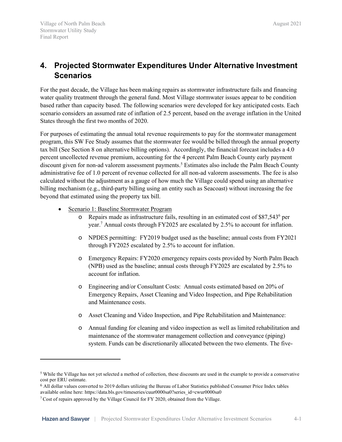<span id="page-16-0"></span>For the past decade, the Village has been making repairs as stormwater infrastructure fails and financing water quality treatment through the general fund. Most Village stormwater issues appear to be condition based rather than capacity based. The following scenarios were developed for key anticipated costs. Each scenario considers an assumed rate of inflation of 2.5 percent, based on the average inflation in the United States through the first two months of 2020.

For purposes of estimating the annual total revenue requirements to pay for the stormwater management program, this SW Fee Study assumes that the stormwater fee would be billed through the annual property tax bill (See Section 8 on alternative billing options). Accordingly, the financial forecast includes a 4.0 percent uncollected revenue premium, accounting for the 4 percent Palm Beach County early payment discount given for non-ad valorem assessment payments. <sup>5</sup> Estimates also include the Palm Beach County administrative fee of 1.0 percent of revenue collected for all non-ad valorem assessments. The fee is also calculated without the adjustment as a gauge of how much the Village could spend using an alternative billing mechanism (e.g., third-party billing using an entity such as Seacoast) without increasing the fee beyond that estimated using the property tax bill.

- Scenario 1: Baseline Stormwater Program
	- o Repairs made as infrastructure fails, resulting in an estimated cost of \$87,543<sup>6</sup> per year.<sup>7</sup> Annual costs through FY2025 are escalated by 2.5% to account for inflation.
	- o NPDES permitting: FY2019 budget used as the baseline; annual costs from FY2021 through FY2025 escalated by 2.5% to account for inflation.
	- o Emergency Repairs: FY2020 emergency repairs costs provided by North Palm Beach (NPB) used as the baseline; annual costs through FY2025 are escalated by 2.5% to account for inflation.
	- o Engineering and/or Consultant Costs: Annual costs estimated based on 20% of Emergency Repairs, Asset Cleaning and Video Inspection, and Pipe Rehabilitation and Maintenance costs.
	- o Asset Cleaning and Video Inspection, and Pipe Rehabilitation and Maintenance:
	- o Annual funding for cleaning and video inspection as well as limited rehabilitation and maintenance of the stormwater management collection and conveyance (piping) system. Funds can be discretionarily allocated between the two elements. The five-

<sup>5</sup> While the Village has not yet selected a method of collection, these discounts are used in the example to provide a conservative cost per ERU estimate.

<sup>6</sup> All dollar values converted to 2019 dollars utilizing the Bureau of Labor Statistics published Consumer Price Index tables available online here: https://data.bls.gov/timeseries/cuur0000sa0?series\_id=cwur0000sa0

<sup>7</sup> Cost of repairs approved by the Village Council for FY 2020, obtained from the Village.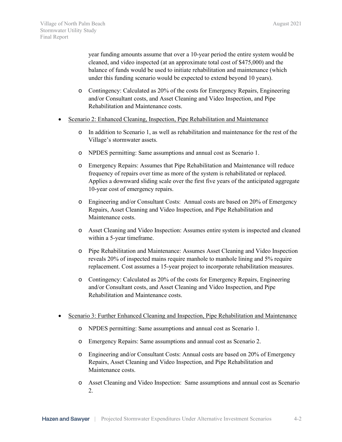year funding amounts assume that over a 10-year period the entire system would be cleaned, and video inspected (at an approximate total cost of \$475,000) and the balance of funds would be used to initiate rehabilitation and maintenance (which under this funding scenario would be expected to extend beyond 10 years).

- o Contingency: Calculated as 20% of the costs for Emergency Repairs, Engineering and/or Consultant costs, and Asset Cleaning and Video Inspection, and Pipe Rehabilitation and Maintenance costs.
- Scenario 2: Enhanced Cleaning, Inspection, Pipe Rehabilitation and Maintenance
	- o In addition to Scenario 1, as well as rehabilitation and maintenance for the rest of the Village's stormwater assets.
	- o NPDES permitting: Same assumptions and annual cost as Scenario 1.
	- o Emergency Repairs: Assumes that Pipe Rehabilitation and Maintenance will reduce frequency of repairs over time as more of the system is rehabilitated or replaced. Applies a downward sliding scale over the first five years of the anticipated aggregate 10-year cost of emergency repairs.
	- o Engineering and/or Consultant Costs: Annual costs are based on 20% of Emergency Repairs, Asset Cleaning and Video Inspection, and Pipe Rehabilitation and Maintenance costs.
	- o Asset Cleaning and Video Inspection: Assumes entire system is inspected and cleaned within a 5-year timeframe.
	- o Pipe Rehabilitation and Maintenance: Assumes Asset Cleaning and Video Inspection reveals 20% of inspected mains require manhole to manhole lining and 5% require replacement. Cost assumes a 15-year project to incorporate rehabilitation measures.
	- o Contingency: Calculated as 20% of the costs for Emergency Repairs, Engineering and/or Consultant costs, and Asset Cleaning and Video Inspection, and Pipe Rehabilitation and Maintenance costs.
- Scenario 3: Further Enhanced Cleaning and Inspection, Pipe Rehabilitation and Maintenance
	- o NPDES permitting: Same assumptions and annual cost as Scenario 1.
	- o Emergency Repairs: Same assumptions and annual cost as Scenario 2.
	- o Engineering and/or Consultant Costs: Annual costs are based on 20% of Emergency Repairs, Asset Cleaning and Video Inspection, and Pipe Rehabilitation and Maintenance costs.
	- o Asset Cleaning and Video Inspection: Same assumptions and annual cost as Scenario 2.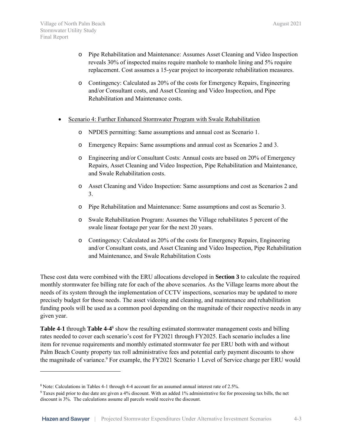- o Pipe Rehabilitation and Maintenance: Assumes Asset Cleaning and Video Inspection reveals 30% of inspected mains require manhole to manhole lining and 5% require replacement. Cost assumes a 15-year project to incorporate rehabilitation measures.
- o Contingency: Calculated as 20% of the costs for Emergency Repairs, Engineering and/or Consultant costs, and Asset Cleaning and Video Inspection, and Pipe Rehabilitation and Maintenance costs.
- Scenario 4: Further Enhanced Stormwater Program with Swale Rehabilitation
	- o NPDES permitting: Same assumptions and annual cost as Scenario 1.
	- o Emergency Repairs: Same assumptions and annual cost as Scenarios 2 and 3.
	- o Engineering and/or Consultant Costs: Annual costs are based on 20% of Emergency Repairs, Asset Cleaning and Video Inspection, Pipe Rehabilitation and Maintenance, and Swale Rehabilitation costs.
	- o Asset Cleaning and Video Inspection: Same assumptions and cost as Scenarios 2 and 3.
	- o Pipe Rehabilitation and Maintenance: Same assumptions and cost as Scenario 3.
	- o Swale Rehabilitation Program: Assumes the Village rehabilitates 5 percent of the swale linear footage per year for the next 20 years.
	- o Contingency: Calculated as 20% of the costs for Emergency Repairs, Engineering and/or Consultant costs, and Asset Cleaning and Video Inspection, Pipe Rehabilitation and Maintenance, and Swale Rehabilitation Costs

These cost data were combined with the ERU allocations developed in **Section 3** to calculate the required monthly stormwater fee billing rate for each of the above scenarios. As the Village learns more about the needs of its system through the implementation of CCTV inspections, scenarios may be updated to more precisely budget for those needs. The asset videoing and cleaning, and maintenance and rehabilitation funding pools will be used as a common pool depending on the magnitude of their respective needs in any given year.

**[Table 4-1](#page-19-0)** through **Table 4-4** 8 show the resulting estimated stormwater management costs and billing rates needed to cover each scenario's cost for FY2021 through FY2025. Each scenario includes a line item for revenue requirements and monthly estimated stormwater fee per ERU both with and without Palm Beach County property tax roll administrative fees and potential early payment discounts to show the magnitude of variance. <sup>9</sup> For example, the FY2021 Scenario 1 Level of Service charge per ERU would

<sup>8</sup> Note: Calculations in Tables 4-1 through 4-4 account for an assumed annual interest rate of 2.5%.

<sup>9</sup> Taxes paid prior to due date are given a 4% discount. With an added 1% administrative fee for processing tax bills, the net discount is 3%. The calculations assume all parcels would receive the discount.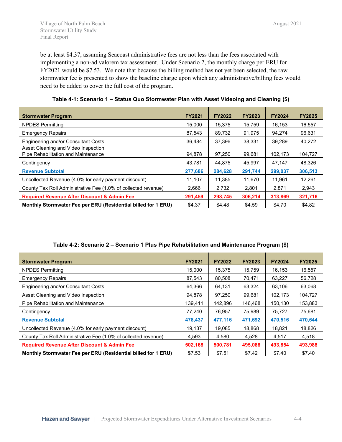be at least \$4.37, assuming Seacoast administrative fees are not less than the fees associated with implementing a non-ad valorem tax assessment. Under Scenario 2, the monthly charge per ERU for FY2021 would be \$7.53. We note that because the billing method has not yet been selected, the raw stormwater fee is presented to show the baseline charge upon which any administrative/billing fees would need to be added to cover the full cost of the program.

<span id="page-19-0"></span>**Table 4-1: Scenario 1 – Status Quo Stormwater Plan with Asset Videoing and Cleaning (\$)**

| <b>Stormwater Program</b>                                                   | <b>FY2021</b> | <b>FY2022</b> | <b>FY2023</b> | <b>FY2024</b> | <b>FY2025</b> |
|-----------------------------------------------------------------------------|---------------|---------------|---------------|---------------|---------------|
| <b>NPDES Permitting</b>                                                     | 15.000        | 15,375        | 15.759        | 16,153        | 16,557        |
| <b>Emergency Repairs</b>                                                    | 87.543        | 89,732        | 91,975        | 94,274        | 96,631        |
| Engineering and/or Consultant Costs                                         | 36,484        | 37,396        | 38,331        | 39,289        | 40,272        |
| Asset Cleaning and Video Inspection,<br>Pipe Rehabilitation and Maintenance | 94.878        | 97,250        | 99.681        | 102,173       | 104,727       |
| Contingency                                                                 | 43.781        | 44.875        | 45.997        | 47.147        | 48.326        |
| <b>Revenue Subtotal</b>                                                     | 277,686       | 284,628       | 291,744       | 299,037       | 306,513       |
| Uncollected Revenue (4.0% for early payment discount)                       | 11,107        | 11,385        | 11,670        | 11,961        | 12,261        |
| County Tax Roll Administrative Fee (1.0% of collected revenue)              | 2,666         | 2,732         | 2,801         | 2,871         | 2,943         |
| <b>Required Revenue After Discount &amp; Admin Fee</b>                      | 291.459       | 298.745       | 306.214       | 313,869       | 321,716       |
| Monthly Stormwater Fee per ERU (Residential billed for 1 ERU)               | \$4.37        | \$4.48        | \$4.59        | \$4.70        | \$4.82        |

| <b>Stormwater Program</b>                                      | <b>FY2021</b> | <b>FY2022</b> | <b>FY2023</b> | <b>FY2024</b> | <b>FY2025</b> |
|----------------------------------------------------------------|---------------|---------------|---------------|---------------|---------------|
| <b>NPDES Permitting</b>                                        | 15.000        | 15.375        | 15.759        | 16.153        | 16,557        |
| <b>Emergency Repairs</b>                                       | 87,543        | 80.508        | 70.471        | 63,227        | 56,728        |
| Engineering and/or Consultant Costs                            | 64.366        | 64,131        | 63,324        | 63,106        | 63,068        |
| Asset Cleaning and Video Inspection                            | 94,878        | 97,250        | 99,681        | 102,173       | 104,727       |
| Pipe Rehabilitation and Maintenance                            | 139,411       | 142,896       | 146.468       | 150,130       | 153,883       |
| Contingency                                                    | 77.240        | 76,957        | 75,989        | 75,727        | 75,681        |
| <b>Revenue Subtotal</b>                                        | 478,437       | 477,116       | 471,692       | 470,516       | 470,644       |
| Uncollected Revenue (4.0% for early payment discount)          | 19,137        | 19,085        | 18,868        | 18,821        | 18,826        |
| County Tax Roll Administrative Fee (1.0% of collected revenue) | 4,593         | 4,580         | 4,528         | 4,517         | 4,518         |
| <b>Required Revenue After Discount &amp; Admin Fee</b>         | 502,168       | 500,781       | 495,088       | 493,854       | 493,988       |
| Monthly Stormwater Fee per ERU (Residential billed for 1 ERU)  | \$7.53        | \$7.51        | \$7.42        | \$7.40        | \$7.40        |

#### <span id="page-19-1"></span>**Table 4-2: Scenario 2 – Scenario 1 Plus Pipe Rehabilitation and Maintenance Program (\$)**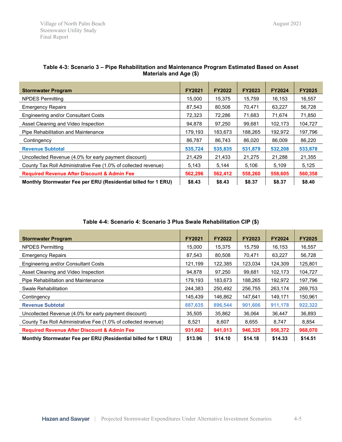| <b>Stormwater Program</b>                                      | <b>FY2021</b> | <b>FY2022</b> | <b>FY2023</b> | <b>FY2024</b> | <b>FY2025</b> |
|----------------------------------------------------------------|---------------|---------------|---------------|---------------|---------------|
| <b>NPDES Permitting</b>                                        | 15.000        | 15.375        | 15.759        | 16.153        | 16,557        |
| <b>Emergency Repairs</b>                                       | 87.543        | 80.508        | 70.471        | 63.227        | 56,728        |
| Engineering and/or Consultant Costs                            | 72.323        | 72.286        | 71.683        | 71.674        | 71,850        |
| Asset Cleaning and Video Inspection                            | 94.878        | 97,250        | 99.681        | 102.173       | 104,727       |
| Pipe Rehabilitation and Maintenance                            | 179.193       | 183.673       | 188,265       | 192.972       | 197,796       |
| Contingency                                                    | 86,787        | 86,743        | 86,020        | 86,009        | 86,220        |
| <b>Revenue Subtotal</b>                                        | 535,724       | 535,835       | 531,879       | 532,208       | 533,878       |
| Uncollected Revenue (4.0% for early payment discount)          | 21,429        | 21,433        | 21,275        | 21,288        | 21,355        |
| County Tax Roll Administrative Fee (1.0% of collected revenue) | 5,143         | 5,144         | 5,106         | 5,109         | 5,125         |
| <b>Required Revenue After Discount &amp; Admin Fee</b>         | 562,296       | 562,412       | 558,260       | 558,605       | 560,358       |
| Monthly Stormwater Fee per ERU (Residential billed for 1 ERU)  | \$8.43        | \$8.43        | \$8.37        | \$8.37        | \$8.40        |

#### <span id="page-20-0"></span>**Table 4-3: Scenario 3 – Pipe Rehabilitation and Maintenance Program Estimated Based on Asset Materials and Age (\$)**

#### **Table 4-4: Scenario 4: Scenario 3 Plus Swale Rehabilitation CIP (\$)**

<span id="page-20-1"></span>

| <b>Stormwater Program</b>                                      | <b>FY2021</b> | <b>FY2022</b> | <b>FY2023</b> | <b>FY2024</b> | <b>FY2025</b> |
|----------------------------------------------------------------|---------------|---------------|---------------|---------------|---------------|
| <b>NPDES Permitting</b>                                        | 15,000        | 15,375        | 15,759        | 16,153        | 16,557        |
| <b>Emergency Repairs</b>                                       | 87,543        | 80,508        | 70,471        | 63,227        | 56,728        |
| <b>Engineering and/or Consultant Costs</b>                     | 121.199       | 122,385       | 123,034       | 124,309       | 125,801       |
| Asset Cleaning and Video Inspection                            | 94,878        | 97,250        | 99,681        | 102,173       | 104,727       |
| Pipe Rehabilitation and Maintenance                            | 179,193       | 183,673       | 188,265       | 192,972       | 197,796       |
| Swale Rehabilitation                                           | 244,383       | 250,492       | 256,755       | 263,174       | 269,753       |
| Contingency                                                    | 145,439       | 146,862       | 147,641       | 149,171       | 150,961       |
| <b>Revenue Subtotal</b>                                        | 887,635       | 896,544       | 901.606       | 911,178       | 922,322       |
| Uncollected Revenue (4.0% for early payment discount)          | 35,505        | 35,862        | 36,064        | 36,447        | 36,893        |
| County Tax Roll Administrative Fee (1.0% of collected revenue) | 8,521         | 8,607         | 8,655         | 8,747         | 8,854         |
| <b>Required Revenue After Discount &amp; Admin Fee</b>         | 931,662       | 941,013       | 946,325       | 956,372       | 968,070       |
| Monthly Stormwater Fee per ERU (Residential billed for 1 ERU)  | \$13.96       | \$14.10       | \$14.18       | \$14.33       | \$14.51       |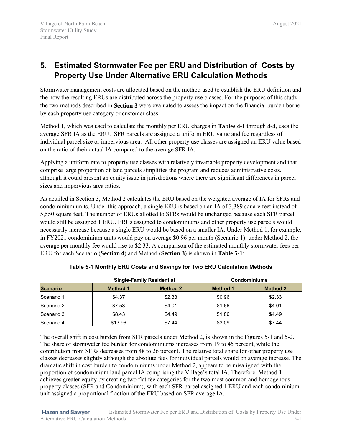<span id="page-21-0"></span>Stormwater management costs are allocated based on the method used to establish the ERU definition and the how the resulting ERUs are distributed across the property use classes. For the purposes of this study the two methods described in **Section 3** were evaluated to assess the impact on the financial burden borne by each property use category or customer class.

Method 1, which was used to calculate the monthly per ERU charges in **Tables 4-1** through **4-4**, uses the average SFR IA as the ERU. SFR parcels are assigned a uniform ERU value and fee regardless of individual parcel size or impervious area. All other property use classes are assigned an ERU value based on the ratio of their actual IA compared to the average SFR IA.

Applying a uniform rate to property use classes with relatively invariable property development and that comprise large proportion of land parcels simplifies the program and reduces administrative costs, although it could present an equity issue in jurisdictions where there are significant differences in parcel sizes and impervious area ratios.

As detailed in Section 3, Method 2 calculates the ERU based on the weighted average of IA for SFRs and condominium units. Under this approach, a single ERU is based on an IA of 3,389 square feet instead of 5,550 square feet. The number of ERUs allotted to SFRs would be unchanged because each SFR parcel would still be assigned 1 ERU. ERUs assigned to condominiums and other property use parcels would necessarily increase because a single ERU would be based on a smaller IA. Under Method 1, for example, in FY2021 condominium units would pay on average \$0.96 per month (Scenario 1); under Method 2, the average per monthly fee would rise to \$2.33. A comparison of the estimated monthly stormwater fees per ERU for each Scenario (**Section 4**) and Method (**Section 3**) is shown in **Table 5-1**:

<span id="page-21-1"></span>

|                 |                 | <b>Single-Family Residential</b> | <b>Condominiums</b> |                 |  |
|-----------------|-----------------|----------------------------------|---------------------|-----------------|--|
| <b>Scenario</b> | <b>Method 1</b> | <b>Method 2</b>                  | <b>Method 1</b>     | <b>Method 2</b> |  |
| Scenario 1      | \$4.37          | \$2.33                           | \$0.96              | \$2.33          |  |
| Scenario 2      | \$7.53          | \$4.01                           | \$1.66              | \$4.01          |  |
| Scenario 3      | \$8.43          | \$4.49                           | \$1.86              | \$4.49          |  |
| Scenario 4      | \$13.96         | \$7.44                           | \$3.09              | \$7.44          |  |

#### **Table 5-1 Monthly ERU Costs and Savings for Two ERU Calculation Methods**

The overall shift in cost burden from SFR parcels under Method 2, is shown in the Figures 5-1 and 5-2. The share of stormwater fee burden for condominiums increases from 19 to 45 percent, while the contribution from SFRs decreases from 48 to 26 percent. The relative total share for other property use classes decreases slightly although the absolute fees for individual parcels would on average increase. The dramatic shift in cost burden to condominiums under Method 2, appears to be misaligned with the proportion of condominium land parcel IA comprising the Village's total IA. Therefore, Method 1 achieves greater equity by creating two flat fee categories for the two most common and homogenous property classes (SFR and Condominium), with each SFR parcel assigned 1 ERU and each condominium unit assigned a proportional fraction of the ERU based on SFR average IA.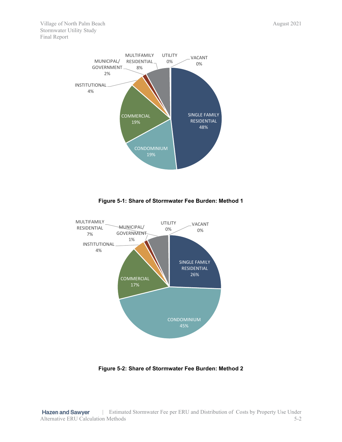Village of North Palm Beach August 2021 Stormwater Utility Study Final Report



**Figure 5-1: Share of Stormwater Fee Burden: Method 1**

<span id="page-22-0"></span>

<span id="page-22-1"></span>**Figure 5-2: Share of Stormwater Fee Burden: Method 2**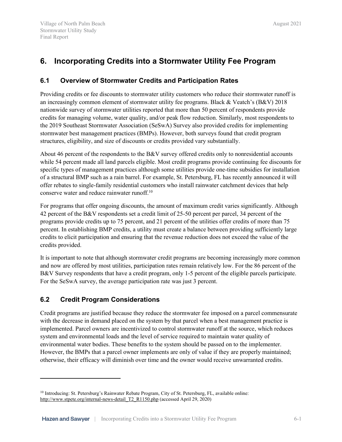# <span id="page-23-1"></span><span id="page-23-0"></span>**6. Incorporating Credits into a Stormwater Utility Fee Program**

#### **6.1 Overview of Stormwater Credits and Participation Rates**

Providing credits or fee discounts to stormwater utility customers who reduce their stormwater runoff is an increasingly common element of stormwater utility fee programs. Black  $& V$ eatch's (B $& V$ ) 2018 nationwide survey of stormwater utilities reported that more than 50 percent of respondents provide credits for managing volume, water quality, and/or peak flow reduction. Similarly, most respondents to the 2019 Southeast Stormwater Association (SeSwA) Survey also provided credits for implementing stormwater best management practices (BMPs). However, both surveys found that credit program structures, eligibility, and size of discounts or credits provided vary substantially.

About 46 percent of the respondents to the B&V survey offered credits only to nonresidential accounts while 54 percent made all land parcels eligible. Most credit programs provide continuing fee discounts for specific types of management practices although some utilities provide one-time subsidies for installation of a structural BMP such as a rain barrel. For example, St. Petersburg, FL has recently announced it will offer rebates to single-family residential customers who install rainwater catchment devices that help conserve water and reduce rainwater runoff.<sup>10</sup>

For programs that offer ongoing discounts, the amount of maximum credit varies significantly. Although 42 percent of the B&V respondents set a credit limit of 25-50 percent per parcel, 34 percent of the programs provide credits up to 75 percent, and 21 percent of the utilities offer credits of more than 75 percent. In establishing BMP credits, a utility must create a balance between providing sufficiently large credits to elicit participation and ensuring that the revenue reduction does not exceed the value of the credits provided.

It is important to note that although stormwater credit programs are becoming increasingly more common and now are offered by most utilities, participation rates remain relatively low. For the 86 percent of the B&V Survey respondents that have a credit program, only 1-5 percent of the eligible parcels participate. For the SeSwA survey, the average participation rate was just 3 percent.

### <span id="page-23-2"></span>**6.2 Credit Program Considerations**

Credit programs are justified because they reduce the stormwater fee imposed on a parcel commensurate with the decrease in demand placed on the system by that parcel when a best management practice is implemented. Parcel owners are incentivized to control stormwater runoff at the source, which reduces system and environmental loads and the level of service required to maintain water quality of environmental water bodies. These benefits to the system should be passed on to the implementer. However, the BMPs that a parcel owner implements are only of value if they are properly maintained; otherwise, their efficacy will diminish over time and the owner would receive unwarranted credits.

<sup>10</sup> Introducing: St. Petersburg's Rainwater Rebate Program, City of St. Petersburg, FL, available online: [http://www.stpete.org/internal-news-detail\\_T2\\_R1150.php](http://www.stpete.org/internal-news-detail_T2_R1150.php) (accessed April 29, 2020)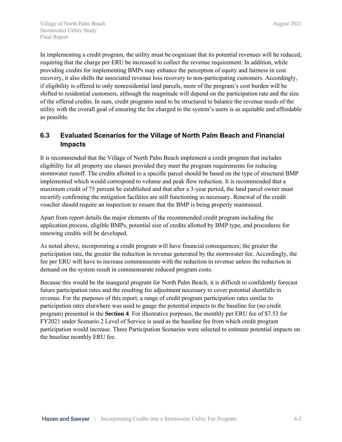In implementing a credit program, the utility must be cognizant that its potential revenues will be reduced, requiring that the charge per ERU be increased to collect the revenue requirement. In addition, while providing credits for implementing BMPs may enhance the perception of equity and fairness in cost recovery, it also shifts the associated revenue loss recovery to non-participating customers. Accordingly, if eligibility is offered to only nonresidential land parcels, more of the program's cost burden will be shifted to residential customers, although the magnitude will depend on the participation rate and the size of the offered credits. In sum, credit programs need to be structured to balance the revenue needs of the utility with the overall goal of ensuring the fee charged to the system's users is as equitable and affordable as possible.

### <span id="page-24-0"></span>**6.3 Evaluated Scenarios for the Village of North Palm Beach and Financial Impacts**

It is recommended that the Village of North Palm Beach implement a credit program that includes eligibility for all property use classes provided they meet the program requirements for reducing stormwater runoff. The credits allotted to a specific parcel should be based on the type of structural BMP implemented which would correspond to volume and peak flow reduction. It is recommended that a maximum credit of 75 percent be established and that after a 3-year period, the land parcel owner must recertify confirming the mitigation facilities are still functioning as necessary. Renewal of the credit voucher should require an inspection to ensure that the BMP is being properly maintained.

Apart from report details the major elements of the recommended credit program including the application process, eligible BMPs, potential size of credits allotted by BMP type, and procedures for renewing credits will be developed.

As noted above, incorporating a credit program will have financial consequences; the greater the participation rate, the greater the reduction in revenue generated by the stormwater fee. Accordingly, the fee per ERU will have to increase commensurate with the reduction in revenue unless the reduction in demand on the system result in commensurate reduced program costs.

Because this would be the inaugural program for North Palm Beach, it is difficult to confidently forecast future participation rates and the resulting fee adjustment necessary to cover potential shortfalls in revenue. For the purposes of this report, a range of credit program participation rates similar to participation rates elsewhere was used to gauge the potential impacts to the baseline fee (no credit program) presented in the **Section 4**. For illustrative purposes, the monthly per ERU fee of \$7.53 for FY2021 under Scenario 2 Level of Service is used as the baseline fee from which credit program participation would increase. Three Participation Scenarios were selected to estimate potential impacts on the baseline monthly ERU fee.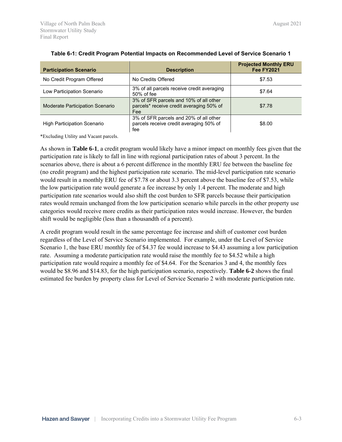<span id="page-25-0"></span>

| <b>Participation Scenario</b>      | <b>Description</b>                                                                        | <b>Projected Monthly ERU</b><br><b>Fee FY2021</b> |
|------------------------------------|-------------------------------------------------------------------------------------------|---------------------------------------------------|
| No Credit Program Offered          | No Credits Offered                                                                        | \$7.53                                            |
| Low Participation Scenario         | 3% of all parcels receive credit averaging<br>50% of fee                                  | \$7.64                                            |
| Moderate Participation Scenario    | 3% of SFR parcels and 10% of all other<br>parcels* receive credit averaging 50% of<br>Fee | \$7.78                                            |
| <b>High Participation Scenario</b> | 3% of SFR parcels and 20% of all other<br>parcels receive credit averaging 50% of<br>fee  | \$8.00                                            |

#### **Table 6-1: Credit Program Potential Impacts on Recommended Level of Service Scenario 1**

\*Excluding Utility and Vacant parcels.

As shown in **Table 6-1**, a credit program would likely have a minor impact on monthly fees given that the participation rate is likely to fall in line with regional participation rates of about 3 percent. In the scenarios above, there is about a 6 percent difference in the monthly ERU fee between the baseline fee (no credit program) and the highest participation rate scenario. The mid-level participation rate scenario would result in a monthly ERU fee of \$7.78 or about 3.3 percent above the baseline fee of \$7.53, while the low participation rate would generate a fee increase by only 1.4 percent. The moderate and high participation rate scenarios would also shift the cost burden to SFR parcels because their participation rates would remain unchanged from the low participation scenario while parcels in the other property use categories would receive more credits as their participation rates would increase. However, the burden shift would be negligible (less than a thousandth of a percent).

A credit program would result in the same percentage fee increase and shift of customer cost burden regardless of the Level of Service Scenario implemented. For example, under the Level of Service Scenario 1, the base ERU monthly fee of \$4.37 fee would increase to \$4.43 assuming a low participation rate. Assuming a moderate participation rate would raise the monthly fee to \$4.52 while a high participation rate would require a monthly fee of \$4.64. For the Scenarios 3 and 4, the monthly fees would be \$8.96 and \$14.83, for the high participation scenario, respectively. **Table 6-2** shows the final estimated fee burden by property class for Level of Service Scenario 2 with moderate participation rate.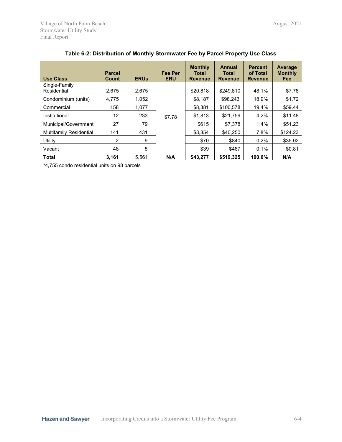<span id="page-26-0"></span>

| <b>Use Class</b>               | <b>Parcel</b><br>Count | <b>ERUS</b> | <b>Fee Per</b><br><b>ERU</b> | <b>Monthly</b><br>Total<br><b>Revenue</b> | Annual<br><b>Total</b><br><b>Revenue</b> | <b>Percent</b><br>of Total<br><b>Revenue</b> | Average<br><b>Monthly</b><br>Fee |
|--------------------------------|------------------------|-------------|------------------------------|-------------------------------------------|------------------------------------------|----------------------------------------------|----------------------------------|
| Single-Family<br>Residential   |                        |             |                              |                                           |                                          | 48.1%                                        |                                  |
|                                | 2.675                  | 2.675       |                              | \$20,818                                  | \$249.810                                |                                              | \$7.78                           |
| Condominium (units)            | 4,775                  | 1.052       |                              | \$8,187                                   | \$98,243                                 | 18.9%                                        | \$1.72                           |
| Commercial                     | 158                    | 1,077       |                              | \$8,381                                   | \$100,578                                | 19.4%                                        | \$59.44                          |
| Institutional                  | 12                     | 233         | \$7.78                       | \$1,813                                   | \$21,759                                 | 4.2%                                         | \$11.48                          |
| Municipal/Government           | 27                     | 79          |                              | \$615                                     | \$7,378                                  | 1.4%                                         | \$51.23                          |
| <b>Multifamily Residential</b> | 141                    | 431         |                              | \$3.354                                   | \$40.250                                 | 7.8%                                         | \$124.23                         |
| Utility                        | 2                      | 9           |                              | \$70                                      | \$840                                    | 0.2%                                         | \$35.02                          |
| Vacant                         | 48                     | 5           |                              | \$39                                      | \$467                                    | 0.1%                                         | \$0.81                           |
| <b>Total</b>                   | 3,161                  | 5.561       | N/A                          | \$43,277                                  | \$519,325                                | 100.0%                                       | N/A                              |

#### **Table 6-2: Distribution of Monthly Stormwater Fee by Parcel Property Use Class**

\*4,755 condo residential units on 98 parcels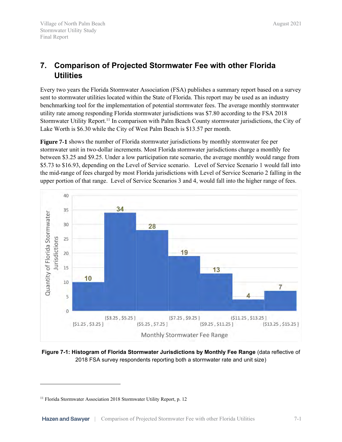# <span id="page-27-0"></span>**7. Comparison of Projected Stormwater Fee with other Florida Utilities**

Every two years the Florida Stormwater Association (FSA) publishes a summary report based on a survey sent to stormwater utilities located within the State of Florida. This report may be used as an industry benchmarking tool for the implementation of potential stormwater fees. The average monthly stormwater utility rate among responding Florida stormwater jurisdictions was \$7.80 according to the FSA 2018 Stormwater Utility Report.<sup>11</sup> In comparison with Palm Beach County stormwater jurisdictions, the City of Lake Worth is \$6.30 while the City of West Palm Beach is \$13.57 per month.

**Figure 7-1** shows the number of Florida stormwater jurisdictions by monthly stormwater fee per stormwater unit in two-dollar increments. Most Florida stormwater jurisdictions charge a monthly fee between \$3.25 and \$9.25. Under a low participation rate scenario, the average monthly would range from \$5.73 to \$16.93, depending on the Level of Service scenario. Level of Service Scenario 1 would fall into the mid-range of fees charged by most Florida jurisdictions with Level of Service Scenario 2 falling in the upper portion of that range. Level of Service Scenarios 3 and 4, would fall into the higher range of fees.



<span id="page-27-1"></span>**Figure 7-1: Histogram of Florida Stormwater Jurisdictions by Monthly Fee Range** (data reflective of 2018 FSA survey respondents reporting both a stormwater rate and unit size)

<sup>&</sup>lt;sup>11</sup> Florida Stormwater Association 2018 Stormwater Utility Report, p. 12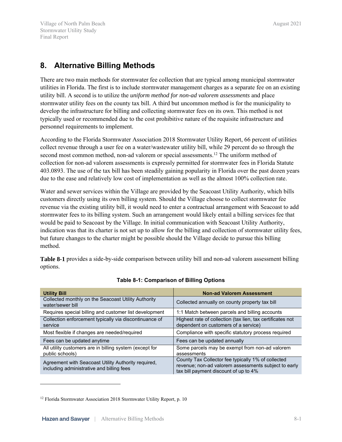# <span id="page-28-0"></span>**8. Alternative Billing Methods**

There are two main methods for stormwater fee collection that are typical among municipal stormwater utilities in Florida. The first is to include stormwater management charges as a separate fee on an existing utility bill. A second is to utilize the *uniform method for non-ad valorem assessments* and place stormwater utility fees on the county tax bill. A third but uncommon method is for the municipality to develop the infrastructure for billing and collecting stormwater fees on its own. This method is not typically used or recommended due to the cost prohibitive nature of the requisite infrastructure and personnel requirements to implement.

According to the Florida Stormwater Association 2018 Stormwater Utility Report, 66 percent of utilities collect revenue through a user fee on a water/wastewater utility bill, while 29 percent do so through the second most common method, non-ad valorem or special assessments.<sup>12</sup> The uniform method of collection for non-ad valorem assessments is expressly permitted for stormwater fees in Florida Statute 403.0893. The use of the tax bill has been steadily gaining popularity in Florida over the past dozen years due to the ease and relatively low cost of implementation as well as the almost 100% collection rate.

Water and sewer services within the Village are provided by the Seacoast Utility Authority, which bills customers directly using its own billing system. Should the Village choose to collect stormwater fee revenue via the existing utility bill, it would need to enter a contractual arrangement with Seacoast to add stormwater fees to its billing system. Such an arrangement would likely entail a billing services fee that would be paid to Seacoast by the Village. In initial communication with Seacoast Utility Authority, indication was that its charter is not set up to allow for the billing and collection of stormwater utility fees, but future changes to the charter might be possible should the Village decide to pursue this billing method.

<span id="page-28-1"></span>**Table 8-1** provides a side-by-side comparison between utility bill and non-ad valorem assessment billing options.

| <b>Utility Bill</b>                                                                              | <b>Non-ad Valorem Assessment</b>                                                                                                                    |
|--------------------------------------------------------------------------------------------------|-----------------------------------------------------------------------------------------------------------------------------------------------------|
| Collected monthly on the Seacoast Utility Authority<br>water/sewer bill                          | Collected annually on county property tax bill                                                                                                      |
| Requires special billing and customer list development                                           | 1:1 Match between parcels and billing accounts                                                                                                      |
| Collection enforcement typically via discontinuance of<br>service                                | Highest rate of collection (tax lien, tax certificates not<br>dependent on customers of a service)                                                  |
| Most flexible if changes are needed/required                                                     | Compliance with specific statutory process required                                                                                                 |
| Fees can be updated anytime                                                                      | Fees can be updated annually                                                                                                                        |
| All utility customers are in billing system (except for<br>public schools)                       | Some parcels may be exempt from non-ad valorem<br>assessments                                                                                       |
| Agreement with Seacoast Utility Authority required,<br>including administrative and billing fees | County Tax Collector fee typically 1% of collected<br>revenue; non-ad valorem assessments subject to early<br>tax bill payment discount of up to 4% |

#### **Table 8-1: Comparison of Billing Options**

<sup>&</sup>lt;sup>12</sup> Florida Stormwater Association 2018 Stormwater Utility Report, p. 10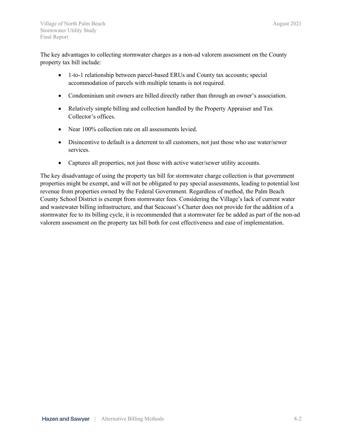The key advantages to collecting stormwater charges as a non-ad valorem assessment on the County property tax bill include:

- 1-to-1 relationship between parcel-based ERUs and County tax accounts; special accommodation of parcels with multiple tenants is not required.
- Condominium unit owners are billed directly rather than through an owner's association.
- Relatively simple billing and collection handled by the Property Appraiser and Tax Collector's offices.
- Near 100% collection rate on all assessments levied.
- Disincentive to default is a deterrent to all customers, not just those who use water/sewer services.
- Captures all properties, not just those with active water/sewer utility accounts.

The key disadvantage of using the property tax bill for stormwater charge collection is that government properties might be exempt, and will not be obligated to pay special assessments, leading to potential lost revenue from properties owned by the Federal Government. Regardless of method, the Palm Beach County School District is exempt from stormwater fees. Considering the Village's lack of current water and wastewater billing infrastructure, and that Seacoast's Charter does not provide for the addition of a stormwater fee to its billing cycle, it is recommended that a stormwater fee be added as part of the non-ad valorem assessment on the property tax bill both for cost effectiveness and ease of implementation.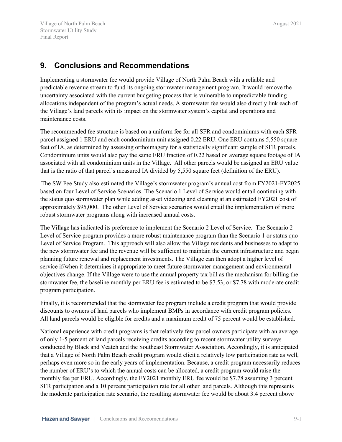## <span id="page-30-0"></span>**9. Conclusions and Recommendations**

Implementing a stormwater fee would provide Village of North Palm Beach with a reliable and predictable revenue stream to fund its ongoing stormwater management program. It would remove the uncertainty associated with the current budgeting process that is vulnerable to unpredictable funding allocations independent of the program's actual needs. A stormwater fee would also directly link each of the Village's land parcels with its impact on the stormwater system's capital and operations and maintenance costs.

The recommended fee structure is based on a uniform fee for all SFR and condominiums with each SFR parcel assigned 1 ERU and each condominium unit assigned 0.22 ERU. One ERU contains 5,550 square feet of IA, as determined by assessing orthoimagery for a statistically significant sample of SFR parcels. Condominium units would also pay the same ERU fraction of 0.22 based on average square footage of IA associated with all condominium units in the Village. All other parcels would be assigned an ERU value that is the ratio of that parcel's measured IA divided by 5,550 square feet (definition of the ERU).

The SW Fee Study also estimated the Village's stormwater program's annual cost from FY2021-FY2025 based on four Level of Service Scenarios. The Scenario 1 Level of Service would entail continuing with the status quo stormwater plan while adding asset videoing and cleaning at an estimated FY2021 cost of approximately \$95,000. The other Level of Service scenarios would entail the implementation of more robust stormwater programs along with increased annual costs.

The Village has indicated its preference to implement the Scenario 2 Level of Service. The Scenario 2 Level of Service program provides a more robust maintenance program than the Scenario 1 or status quo Level of Service Program. This approach will also allow the Village residents and businesses to adapt to the new stormwater fee and the revenue will be sufficient to maintain the current infrastructure and begin planning future renewal and replacement investments. The Village can then adopt a higher level of service if/when it determines it appropriate to meet future stormwater management and environmental objectives change. If the Village were to use the annual property tax bill as the mechanism for billing the stormwater fee, the baseline monthly per ERU fee is estimated to be \$7.53, or \$7.78 with moderate credit program participation.

Finally, it is recommended that the stormwater fee program include a credit program that would provide discounts to owners of land parcels who implement BMPs in accordance with credit program policies. All land parcels would be eligible for credits and a maximum credit of 75 percent would be established.

National experience with credit programs is that relatively few parcel owners participate with an average of only 1-5 percent of land parcels receiving credits according to recent stormwater utility surveys conducted by Black and Veatch and the Southeast Stormwater Association. Accordingly, it is anticipated that a Village of North Palm Beach credit program would elicit a relatively low participation rate as well, perhaps even more so in the early years of implementation. Because, a credit program necessarily reduces the number of ERU's to which the annual costs can be allocated, a credit program would raise the monthly fee per ERU. Accordingly, the FY2021 monthly ERU fee would be \$7.78 assuming 3 percent SFR participation and a 10 percent participation rate for all other land parcels. Although this represents the moderate participation rate scenario, the resulting stormwater fee would be about 3.4 percent above